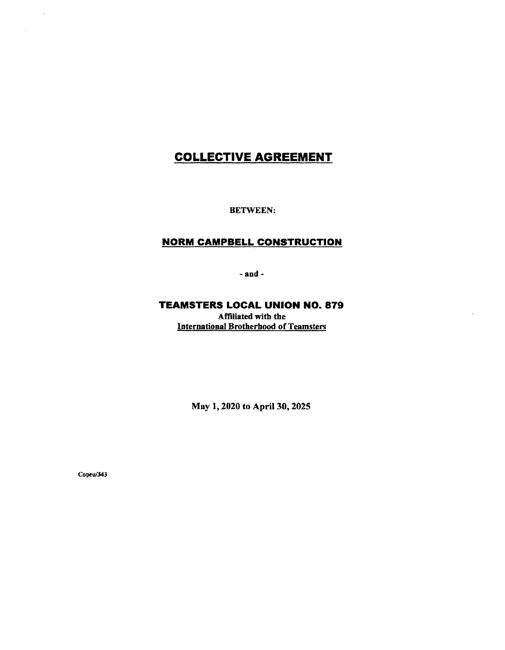# **COLLECTIVE AGREEMENT**

BETWEEN:

## **NORM CAMPBELL CONSTRUCTION**

-and-

## **TEAMSTERS LOCAL UNION NO. 879**

Affiliated with the International Brotherhood of Teamsters

May 1, 2020 to April 30, 2025

Copeu/343

 $\bar{\bar{q}}$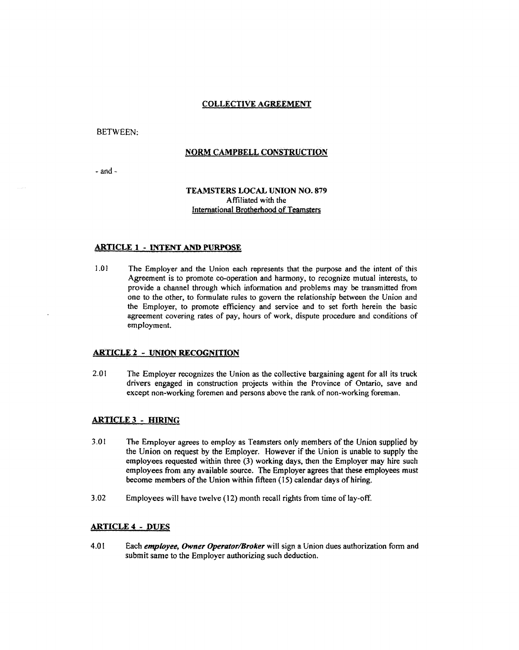## COLLECTIVE **AGREEMENT**

BETWEEN:

## **NORM CAMPBELL CONSTRUCTION**

 $-$ and  $-$ 

## **TEAMSTERS LOCAL UNION NO. 879**  Affiliated with the lntemational Brotherhood of Team§ters

#### **ARTICLE 1** - **INTENT AND PURPOSE**

1.01 The Employer and the Union each represents that the purpose and the intent of this Agreement is to promote co-operation and harmony, to recognize mutual interests, to provide a channel through which information and problems may be transmitted from one to the other, to formulate rules to govern the relationship between the Union and the Employer, to promote efficiency and service and to set forth herein the basic agreement covering rates of pay, hours of work, dispute procedure and conditions of employment.

#### **ARTICLE 2** - **UNION RECOGNITION**

2.01 The Employer recognizes the Union as the collective bargaining agent for all its truck drivers engaged in construction projects within the Province of Ontario, save and except non-working foremen and persons above the rank of non-working foreman.

#### **ARTICLE 3** - **HIRING**

- 3.01 The Employer agrees to employ as Teamsters only members of the Union supplied by the Union on request by the Employer. However if the Union is unable to supply the employees requested within three (3) working days, then the Employer may hire such employees from any available source. The Employer agrees that these employees must become members of the Union within fifteen (15) calendar days of hiring.
- 3 .02 Employees will have twelve ( 12) month recall rights from time of lay-off.

#### **ARTICLE 4** - **DUES**

4.0 I Each *employee, Owner Operator/Broker* will sign a Union dues authorization form and submit same to the Employer authorizing such deduction.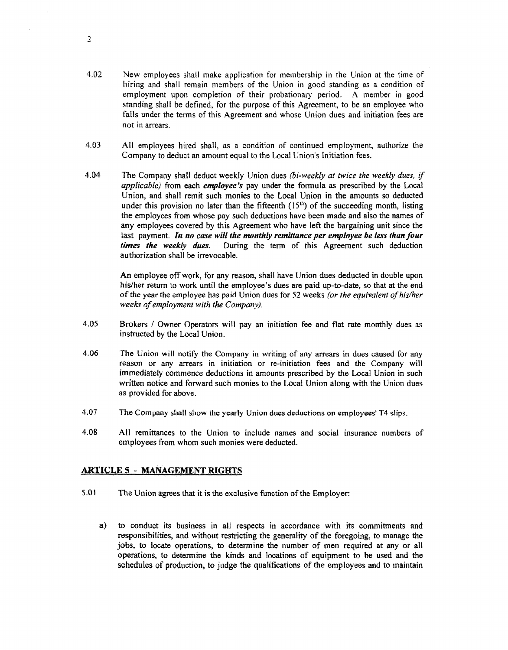- 4.02 New employees shall make application for membership in the Union at the time of hiring and shall remain members of the Union in good standing as a condition of employment upon completion of their probationary period. A member in good standing shall be defined, for the purpose of this Agreement, to be an employee who falls under the terms of this Agreement and whose Union dues and initiation fees are not in arrears.
- 4.03 All employees hired shall, as a condition of continued employment, authorize the Company to deduct an amount equal to the Local Union's Initiation fees.
- 4.04 The Company shall deduct weekly Union dues *{bi-weekly at twice the weekly dues, if applicable)* from each *employee's* pay under the formula as prescribed by the Local Union, and shall remit such monies to the Local Union in the amounts so deducted under this provision no later than the fifteenth  $(15<sup>th</sup>)$  of the succeeding month, listing the employees from whose pay such deductions have been made and also the names of any employees covered by this Agreement who have left the bargaining unit since the last payment. *In no case will the monthly remittance per employee be less than four times the weekly dues.* During the term of this Agreement such deduction During the term of this Agreement such deduction authorization shall be irrevocable.

An employee off work, for any reason, shall have Union dues deducted in double upon his/her return to work until the employee's dues are paid up-to-date, so that at the end of the year the employee has paid Union dues for 52 weeks *(or the equivalent of his/her weeks of employment with the Company).* 

- 4.05 Brokers / Owner Operators will pay an initiation fee and flat rate monthly dues as instructed by the Local Union.
- 4.06 The Union will notify the Company in writing of any arrears in dues caused for any reason or any arrears in initiation or re-initiation fees and the Company will immediately commence deductions in amounts prescribed by the Local Union in such written notice and forward such monies to the Local Union along with the Union dues as provided for above.
- 4.07 The Company shall show the yearly Union dues deductions on employees' T4 slips.
- 4.08 All remittances to the Union to include names and social insurance numbers of employees from whom such monies were deducted.

## **ARTICLE 5** - **MANAGEMENT RIGHTS**

- 5.01 The Union agrees that it is the exclusive function of the Employer:
	- a) to conduct its business in all respects in accordance with its commitments and responsibilities, and without restricting the generality of the foregoing, to manage the jobs, to locate operations, to determine the number of men required at any or all operations, to determine the kinds and locations of equipment to be used and the schedules of production, to judge the qualifications of the employees and to maintain

2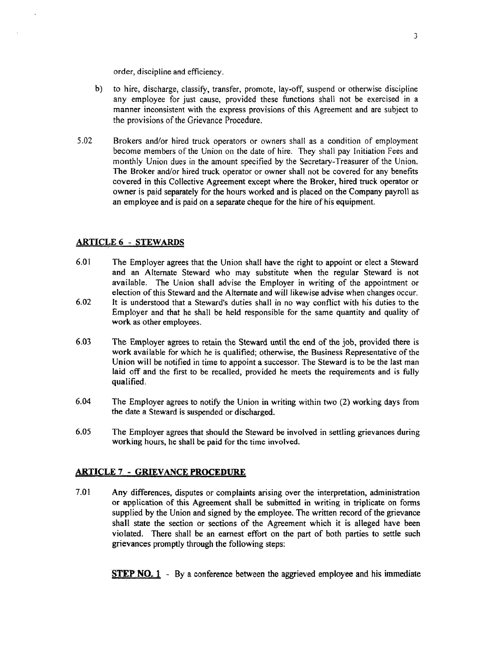order, discipline and efficiency.

- b) to hire, discharge, classify, transfer, promote, lay-off, suspend or otherwise discipline any employee for just cause, provided these functions shall not be exercised in a manner inconsistent with the express provisions of this Agreement and are subject to the provisions of the Grievance Procedure.
- 5.02 Brokers and/or hired truck operators or owners shall as a condition of employment become members of the Union on the date of hire. They shall pay Initiation Fees and monthly Union dues in the amount specified by the Secretary-Treasurer of the Union. The Broker and/or hired truck operator or owner shall not be covered for any benefits covered in this Collective Agreement except where the Broker, hired truck operator or owner is paid separately for the hours worked and is placed on the Company payroll as an employee and is paid on a separate cheque for the hire of his equipment.

## **ARTICLE 6 - STEWARDS**

- 6.01 The Employer agrees that the Union shall have the right to appoint or elect a Steward and an Alternate Steward who may substitute when the regular Steward is not available. The Union shall advise the Employer in writing of the appointment or election of this Steward and the Alternate and will likewise advise when changes occur.
- 6.02 It is understood that a Steward's duties shall in no way conflict with his duties to the Employer and that he shall be held responsible for the same quantity and quality of **work** as other employees.
- 6.03 The Employer agrees to retain the Steward until the end of the job, provided there is **work** available for which he is qualified; otherwise, the Business Representative of the Union will be notified in time to appoint a successor. The Steward is to be the last man laid off and the first to be recalled, provided he meets the requirements and is fully qualified.
- 6.04 The Employer agrees to notify the Union in writing within two (2) working days from the date a Steward is suspended or discharged.
- 6.05 The Employer agrees that should the Steward be involved in settling grievances during working hours, he shall be paid for the time involved.

## **ARTICLE7** - **GRIEVANCEPROCEDURE**

7.01 Any differences, disputes or complaints arising over the interpretation, administration or application of this Agreement shall be submitted in writing in triplicate on forms supplied by the Union and signed by the employee. The written record of the grievance shall state the section or sections of the Agreement which it is alleged have been violated. There shall be an earnest effort on the part of both parties to settle such grievances promptly through the following steps:

**STEP NO. 1** - By a conference between the aggrieved employee and his immediate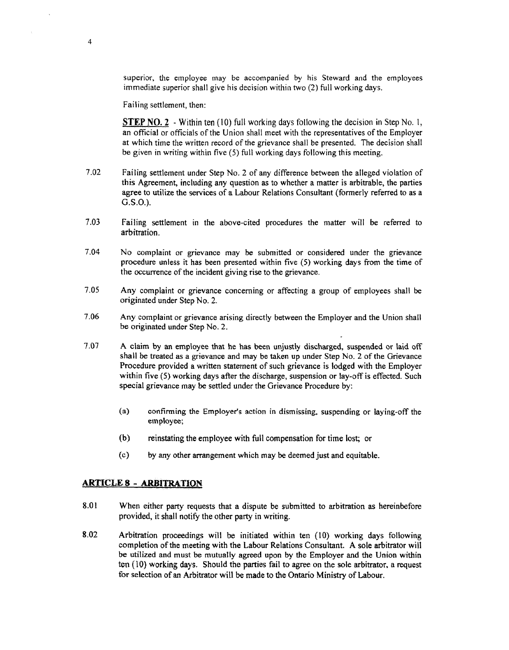superior, the employee may be accompanied by his Steward and the employees immediate superior shall give his decision within two (2) full working days.

Failing settlement, then:

4

**STEP NO. 2** - Within ten (10) full working days following the decision in Step No. 1, an official or officials of the Union shall meet with the representatives of the Employer at which time the written record of the grievance shall be presented. The decision shall be given in writing within five (5) full working days following this meeting.

- 7.02 Failing settlement under Step No. 2 of any difference between the alleged violation of this Agreement, including any question as to whether a matter is arbitrable, the parties agree to utilize the services of a Labour Relations Consultant (formerly referred to as a G.S.O.).
- 7.03 Failing settlement in the above-cited procedures the matter will be referred to arbitration.
- 7.04 No complaint or grievance may be submitted or considered under the grievance procedure unless it has been presented within five (5) working days from the time of the occurrence of the incident giving rise to the grievance.
- 7.05 Any complaint or grievance concerning or affecting a group of employees shall be originated under Step No. 2.
- 7 .06 Any complaint or grievance arising directly between the Employer and the Union shall be originated under Step No. 2.
- 7 .07 A claim by an employee that he has been unjustly discharged, suspended or laid off shall be treated as a grievance and may be taken up under Step No. 2 of the Grievance Procedure provided a written statement of such grievance is lodged with the Employer within five (S) working days after the discharge, suspension or lay-off is effected. Such special grievance may be settled under the Grievance Procedure by:
	- (a) confirming the Employer's action in dismissing. suspending or laying-off the employee;
	- (b) reinstating the employee with full compensation for time lost; or
	- ( c) by any other arrangement which may be deemed just and equitable.

#### **ARTICLES~ ARBITRATION**

- 8.01 When either party requests that a dispute be submitted to arbitration as hereinbefore provided, it shall notify the other party in writing.
- 8.02 Arbitration proceedings will be initiated within ten (10) working days following completion of the meeting with the Labour Relations Consultant. A sole arbitrator will be utilized and must be mutually agreed upon by the Employer and the Union within ten (10) working days. Should the parties fail to agree on the sole arbitrator, a request for selection of an Arbitrator will be made to the Ontario Ministry of Labour.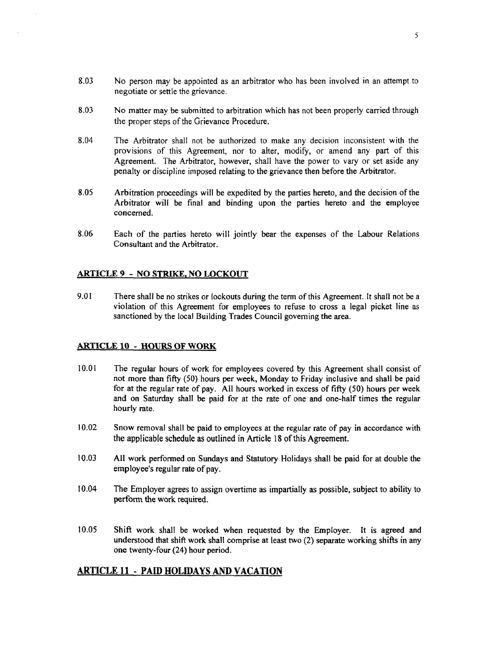- 8.03 No person may be appointed as an arbitrator who has been involved in an attempt to negotiate or settle the grievance.
- 8.03 No matter may be submitted to arbitration which has not been properly carried through the proper steps of the Grievance Procedure.
- 8.04 The Arbitrator shall not be authorized to make any decision inconsistent with the provisions of this Agreement, nor to alter, modify, or amend any part of this Agreement. The Arbitrator, however, shall have the power to vary or set aside any penalty or discipline imposed relating to the grievance then before the Arbitrator.
- 8.05 Arbitration proceedings will be expedited by the parties hereto, and the decision of the Arbitrator will be final and binding upon the parties hereto and the employee concerned.
- 8.06 Each of the parties hereto will jointly bear the expenses of the Labour Relations Consultant and the Arbitrator.

#### **ARTICLE 9** - **NO STRIKE, NO LOCKOUT**

9.01 There shall be no strikes or lockouts during the term of this Agreement. It shall not be a violation of this Agreement for employees to refuse to cross a legal picket line as sanctioned by the local Building Trades Council governing the area.

#### **ARTICLE 10** - **HOURS OF WORK**

- 10.01 The regular hours of work for employees covered by this Agreement shall consist of not more than fifty (50) hours per week, Monday to Friday inclusive and shall be paid for at the regular rate of pay. All hours worked in excess of fifty (50) hours per week and on Saturday shall be paid for at the rate of one and one-half times the regular hourly rate.
- 10.02 Snow removal shall be paid to employees at the regular rate of pay in accordance with the applicable schedule as outlined in Article 18 of this Agreement.
- 10.03 All work performed on Sundays and Statutory Holidays shall be paid for at double the employee's regular rate of pay.
- I 0.04 The Employer agrees to assign overtime as impartially as possible, subject to ability to perform the work required.
- 10.05 Shift work shall be worked when requested by the Employer. It is agreed and understood that shift work shall comprise at least two (2) separate working shifts in any one twenty-four (24) hour period.

## **ARTICLE 11** - **PAID HOLIDAYS AND VACATION**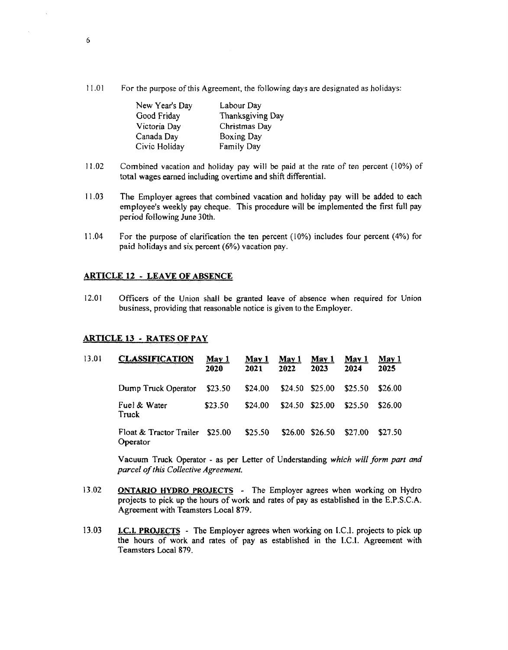l 1.0 I For the purpose of this Agreement, the following days are designated as holidays:

| New Year's Day | Labour Day       |  |  |
|----------------|------------------|--|--|
| Good Friday    | Thanksgiving Day |  |  |
| Victoria Day   | Christmas Day    |  |  |
| Canada Day     | Boxing Day       |  |  |
| Civic Holiday  | Family Day       |  |  |

- I 1.02 Combined vacation and holiday pay will be paid at the rate of ten percent (10%) of total wages earned including overtime and shift differential.
- 11.03 The Employer agrees that combined vacation and holiday pay will be added to each employee's weekly pay cheque. This procedure will be implemented the first full pay period following June 30th.
- 11.04 For the purpose of clarification the ten percent (10%) includes four percent (4%) for paid holidays and six percent (6%) vacation pay.

#### **ARTICLE 12** - **LEAVE OF ABSENCE**

12.01 Officers of the Union shall be granted leave of absence when required for Union business, providing that reasonable notice is given to the Employer.

#### **ARTICLE 13** - **RATES OF PAY**

| 13.01 | <b>CLASSIFICATION</b>               | May 1<br>2020 | May 1<br>2021 | May 1<br>2022 | May 1<br>2023 | May 1<br>2024 | May 1<br>2025 |
|-------|-------------------------------------|---------------|---------------|---------------|---------------|---------------|---------------|
|       | Dump Truck Operator                 | \$23.50       | \$24.00       | \$24.50       | \$25.00       | \$25.50       | \$26.00       |
|       | Fuel & Water<br>Truck               | \$23.50       | \$24.00       | \$24.50       | \$25.00       | \$25.50       | \$26.00       |
|       | Float & Tractor Trailer<br>Operator | \$25.00       | \$25.50       | \$26.00       | \$26.50       | \$27.00       | \$27.50       |

Vacuum Truck Operator - as per Letter of Understanding *which will form part and parcel of this Collective Agreement.* 

- 13.02 **ONTARIO HYDRO PROJECTS** - The Employer agrees when working on Hydro projects to pick up the hours of work and rates of pay as established in the E.P .S.C.A. Agreement with Teamsters Local 879.
- 13.03 I.C.I. **PROJECTS** - The Employer agrees when working on LC.I. projects to pick up the hours of work and rates of pay as established in the LC.I. Agreement with Teamsters Local 879.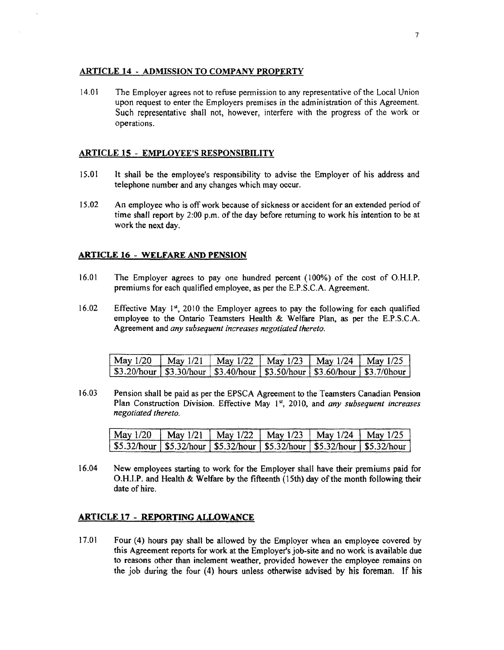#### **ARTICLE 14** - **ADMISSION TO COMPANY PROPERTY**

14.01 The Employer agrees not to refuse permission to any representative of the Local Union upon request to enter the Employers premises in the administration of this Agreement. Such representative shall not, however, interfere with the progress of the work or operations.

#### **ARTICLE 15** - **EMPLOYEE'S RESPONSIBILITY**

- 15.01 It shall be the employee's responsibility to advise the Employer of his address and telephone number and any changes which may occur.
- 15.02 An employee who is off work because of sickness or accident for an extended period of time shall report by 2:00 p.m. of the day before returning to work his intention to be at work the next day.

#### **ARTICLE 16** - **WELFARE AND PENSION**

- 16.01 The Employer agrees to pay one hundred percent (100%) of the cost of O.H.l.P. premiums for each qualified employee, as per the E.P.S.C.A. Agreement.
- 16.02 Effective May 1st, 2010 the Employer agrees to pay the following for each qualified employee to the Ontario Teamsters Health & Welfare Plan, as per the E.P.S.C.A. Agreement and *any subsequent increases negotiated thereto.*

| May 1/20   May 1/21   May 1/22   May 1/23   May 1/24   May 1/25 |  |  |  |
|-----------------------------------------------------------------|--|--|--|
|                                                                 |  |  |  |

16.03 Pension shall be paid as per the EPSCA Agreement to the Teamsters Canadian Pension Plan Construction Division. Effective May 1<sup>st</sup>, 2010, and *any subsequent increases negotiated thereto.* 

| May 1/20 May 1/21 May 1/22 May 1/23 May 1/24 May 1/25                             |  |  |  |
|-----------------------------------------------------------------------------------|--|--|--|
| \$5.32/hour   \$5.32/hour   \$5.32/hour   \$5.32/hour   \$5.32/hour   \$5.32/hour |  |  |  |

16.04 New employees starting to work for the Employer shall have their premiums paid for 0.H.I.P. and Health & Welfare by the fifteenth (15th) day of the month following their date of hire.

#### **ARTICLE 17** .- **REPORTING ALLOWANCE**

17.01 Four (4) hours pay shall be allowed by the Employer when an employee covered by this Agreement reports for work at the Employer's job-site and no work is available due to reasons other than inclement weather, provided however the employee remains on the job during the four (4) hours unless otherwise advised by his foreman. If his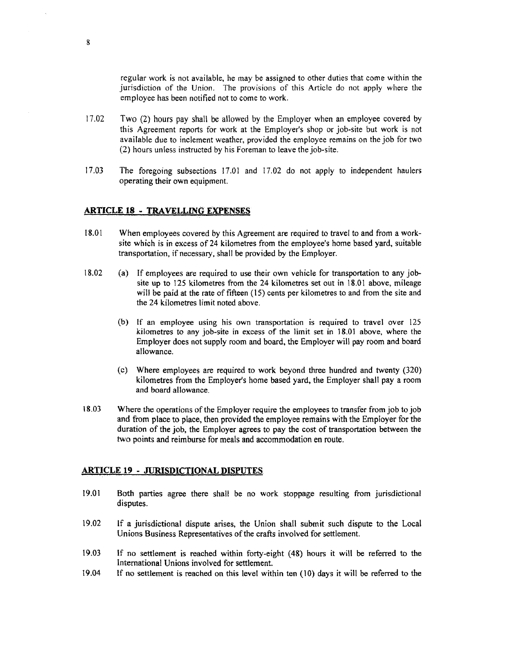regular work is not available, he may be assigned to other duties that come within the jurisdiction of the Union. The provisions of this Article do not apply where the employee has been notified not to come to work.

- 17.02 Two (2) hours pay shall be allowed by the Employer when an employee covered by this Agreement reports for work at the Employer's shop or job-site but work is not available due to inclement weather, provided the employee remains on the job for two (2) hours unless instructed by his Foreman to leave the job-site.
- 17.03 The foregoing subsections 17.01 and 17.02 do not apply to independent haulers operating their own equipment.

#### **ARTICLE 18 . TRAVELLING EXPENSES**

- 18.01 When employees covered by this Agreement are required to travel to and from a worksite which is in excess of 24 kilometres from the employee's home based yard, suitable transportation, if necessary, shall be provided by the Employer.
- 18.02 (a) If employees are required to use their own vehicle for transportation to any jobsite up to 125 kilometres from the 24 kilometres set out in 18.0 l above, mileage will be paid at the rate of fifteen (15) cents per kilometres to and from the site and the 24 kilometres limit noted above.
	- (b) If an employee using his own transportation is required to travel over 125 kilometres to any job-site in excess of the limit set in 18.01 above, where the Employer does not supply room and board, the Employer will pay room and board allowance.
	- (c) Where employees are required to work beyond three hundred and twenty (320) kilometres from the Employer's home based yard, the Employer shall pay a room and board allowance.
- I 8.03 Where the operations of the Employer require the employees to transfer from job to job and from place to place, then provided the employee remains with the Employer for the duration of the job, the Employer agrees to pay the cost of transportation between the two points and reimburse for meals and accommodation en route.

#### **ARTICLE 19 - JURISDICTIONAL DISPUTES**

- 19.01 Both parties agree there shal! be no work stoppage resulting from jurisdictional disputes.
- 19.02 lf a jurisdictional dispute arises, the Union shall submit such dispute to the Local Unions Business Representatives of the crafts involved for settlement.
- 19 .03 If no settlement is reached within forty-eight ( 48) hours it will be referred to the International Unions involved for settlement.
- 19 .04 If no settlement is reached on this level within ten ( 10) days it will be referred to the

8